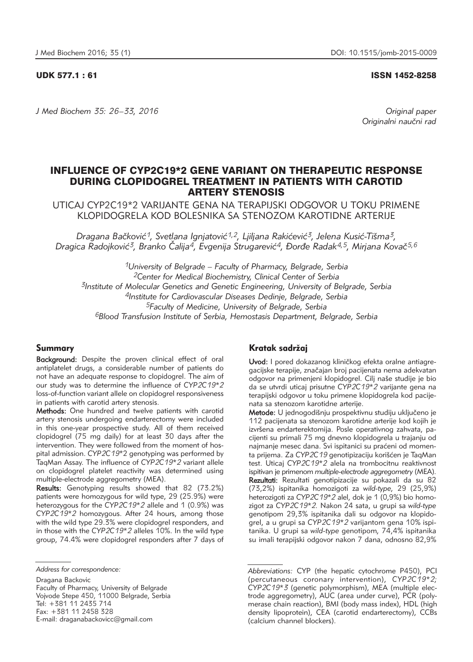UDK 577.1 : 61 ISSN 1452-8258

*J Med Biochem 35: 26–33, 2016 Original paper*

Originalni naučni rad

# INFLUENCE OF CYP2C19\*2 GENE VARIANT ON THERAPEUTIC RESPONSE DURING CLOPIDOGREL TREATMENT IN PATIENTS WITH CAROTID ARTERY STENOSIS

UTICAJ CYP2C19\*2 VARIJANTE GENA NA TERAPIJSKI ODGOVOR U TOKU PRIMENE KLOPIDOGRELA KOD BOLESNIKA SA STENOZOM KAROTIDNE ARTERIJE

Dragana Bačković<sup>1</sup>, Svetlana Ignjatović<sup>1,2</sup>, Ljiljana Rakićević<sup>3</sup>, Jelena Kusić-Tišma<sup>3</sup>, Dragica Radojković<sup>3</sup>, Branko Čalija<sup>4</sup>, Evgenija Strugarević<sup>4</sup>, Đorđe Radak<sup>4,5</sup>, Mirjana Kovač<sup>5,6</sup>

*1University of Belgrade – Faculty of Pharmacy, Belgrade, Serbia 2Center for Medical Biochemistry, Clinical Center of Serbia 3Institute of Molecular Genetics and Genetic Engineering, University of Belgrade, Serbia 4Institute for Cardiovascular Diseases Dedinje, Belgrade, Serbia 5Faculty of Medicine, University of Belgrade, Serbia 6Blood Transfusion Institute of Serbia, Hemostasis Department, Belgrade, Serbia*

## Summary

Background: Despite the proven clinical effect of oral antiplatelet drugs, a considerable number of patients do not have an adequate response to clopidogrel. The aim of our study was to determine the influence of *CYP2C19\*2* loss-of-function variant allele on clopidogrel responsiveness in patients with carotid artery stenosis.

Methods: One hundred and twelve patients with carotid artery stenosis undergoing endarterectomy were included in this one-year prospective study. All of them received clopidogrel (75 mg daily) for at least 30 days after the intervention. They were followed from the moment of hospital admission. *CYP2C19*\*2 genotyping was performed by TaqMan Assay. The influence of *CYP2C19\*2* variant allele on clopidogrel platelet reactivity was determined using multiple-electrode aggregometry (MEA).

Results: Genotyping results showed that 82 (73.2%) patients were homozygous for wild type, 29 (25.9%) were heterozygous for the *CYP2C19\*2* allele and 1 (0.9%) was *CYP2C19\*2* homozygous. After 24 hours, among those with the wild type 29.3% were clopidogrel responders, and in those with the *CYP2C19\*2* alleles 10%. In the wild type group, 74.4% were clopidogrel responders after 7 days of

Dragana Backovic

Faculty of Pharmacy, University of Belgrade Vojvode Stepe 450, 11000 Belgrade, Serbia Tel: +381 11 2435 714 Fax: +381 11 2458 328 E-mail: draganabackovicc@gmail.com

# Kratak sadržaj

Uvod: I pored dokazanog kliničkog efekta oralne antiagregacijske terapije, značajan broj pacijenata nema adekvatan odgovor na primenjeni klopidogrel. Cilj naše studije je bio da se utvrdi uticaj prisutne *CYP2C19\*2* varijante gena na terapijski odgovor u toku primene klopidogrela kod pacijenata sa stenozom karotidne arterije.

Metode: U jednogodišnju prospektivnu studiju uključeno je 112 pacijenata sa stenozom karotidne arterije kod kojih je izvršena endarterektomija. Posle operativnog zahvata, pacijenti su primali 75 mg dnevno klopidogrela u trajanju od najmanje mesec dana. Svi ispitanici su praćeni od momenta prijema. Za CYP2C19 genotipizaciju korišćen je TaqMan test. Uticaj *CYP2C19\*2* alela na trombocitnu reaktivnost ispitivan je primenom *multiple-electrode aggregometry* (MEA). Rezultati: Rezultati genotipizacije su pokazali da su 82 (73,2%) ispitanika homozigoti za *wild-type,* 29 (25,9%) heterozigoti za CYP2C19\*2 alel, dok je 1 (0,9%) bio homozigot za *CYP2C19\*2.* Nakon 24 sata, u grupi sa *wild-type* genotipom 29,3% ispitanika dali su odgovor na klopidogrel, a u grupi sa *CYP2C19\*2* varijantom gena 10% ispitanika. U grupi sa *wild-type* genotipom, 74,4% ispitanika su imali terapijski odgovor nakon 7 dana, odnosno 82,9%

*Address for correspondence:* 

*Abbreviations:* CYP (the hepatic cytochrome P450), PCI (percutaneous coronary intervention), CYP2C19\*2; *CYP2C19\*3* (genetic polymorphism), MEA (multiple electrode aggregometry), AUC (area under curve), PCR (polymerase chain reaction), BMI (body mass index), HDL (high density lipoprotein), CEA (carotid endarterectomy), CCBs (calcium channel blockers).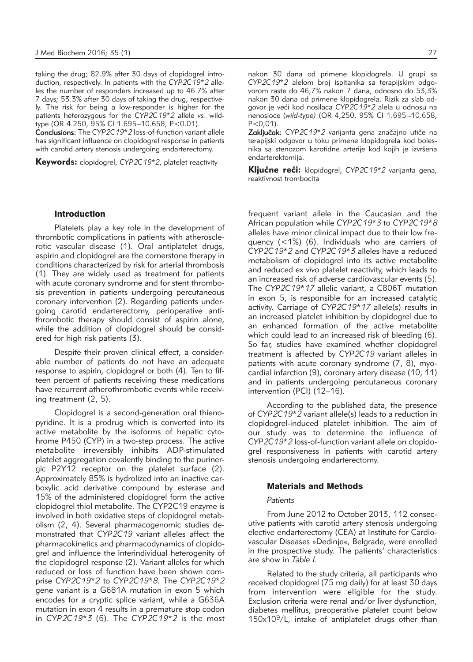taking the drug; 82.9% after 30 days of clopidogrel introduction, respectively. In patients with the *CYP2C19\*2* alleles the number of responders increased up to 46.7% after 7 days; 53.3% after 30 days of taking the drug, respectively. The risk for being a low-responder is higher for the patients heterozygous for the *CYP2C19\*2* allele *vs*. wildtype (OR 4.250, 95% CI 1.695–10.658, P<0.01).

Conclusions: The *CYP2C19\*2* loss-of-function variant allele has significant influence on clopidogrel response in patients with carotid artery stenosis undergoing endarterectomy.

Keywords: clopidogrel, *CYP2C19\*2*, platelet reactivity

nakon 30 dana od primene klopidogrela. U grupi sa CYP2C19\*2 alelom broj ispitanika sa terapijskim odgovorom raste do 46,7% nakon 7 dana, odnosno do 53,3% nakon 30 dana od primene klopidogrela. Rizik za slab odgovor je ve}i kod nosilaca *CYP2C19\*2* alela u odnosu na nenosioce (*wild-type)* (OR 4,250, 95% CI 1.695 –10.658,  $P < 0.01$ ).

Zaključak: CYP2C19\*2 varijanta gena značajno utiče na terapijski odgovor u toku primene klopidogrela kod bolesnika sa stenozom karotidne arterije kod kojih je izvršena endarterektomija.

Ključne reči: klopidogrel, *CYP2C19\*2* varijanta gena, reaktivnost trombocita

## Introduction

Platelets play a key role in the development of thrombotic complications in patients with atherosclerotic vascular disease (1). Oral antiplatelet drugs, aspirin and clopidogrel are the cornerstone therapy in conditions characterized by risk for arterial thrombosis (1). They are widely used as treatment for patients with acute coronary syndrome and for stent thrombosis prevention in patients undergoing percutaneous coronary intervention (2). Regarding patients undergoing carotid endarterectomy, perioperative antithrombotic therapy should consist of aspirin alone, while the addition of clopidogrel should be considered for high risk patients (3).

Despite their proven clinical effect, a considerable number of patients do not have an adequate response to aspirin, clopidogrel or both (4). Ten to fifteen percent of patients receiving these medications have recurrent atherothrombotic events while receiving treatment (2, 5).

Clopidogrel is a second-generation oral thienopyridine. It is a prodrug which is converted into its active metabolite by the isoforms of hepatic cytohrome P450 (CYP) in a two-step process. The active metabolite irreversibly inhibits ADP-stimulated platelet aggregation covalently binding to the purinergic P2Y12 receptor on the platelet surface (2). Approximately 85% is hydrolized into an inactive carboxylic acid derivative compound by esterase and 15% of the administered clopidogrel form the active clopidogrel thiol metabolite. The CYP2C19 enzyme is involved in both oxidative steps of clopidogrel metabolism (2, 4). Several pharmacogenomic studies demonstrated that *CYP2C19* variant alleles affect the pharmacokinetics and pharmacodynamics of clopidogrel and influence the interindividual heterogenity of the clopidogrel response (2). Variant alleles for which reduced or loss of function have been shown comprise *CYP2C19\*2* to *CYP2C19\*8*. The *CYP2C19\*2* gene variant is a G681A mutation in exon 5 which encodes for a cryptic splice variant, while a G636A mutation in exon 4 results in a premature stop codon in *CYP2C19\*3* (6). The *CYP2C19\*2* is the most

frequent variant allele in the Caucasian and the African population while *CYP2C19\*3* to *CYP2C19\*8* alleles have minor clinical impact due to their low frequency (<1%) (6). Individuals who are carriers of *CYP2C19\*2* and *CYP2C19\*3* alleles have a reduced metabolism of clopidogrel into its active metabolite and reduced *ex vivo* platelet reactivity, which leads to an increased risk of adverse cardiovascular events (5). The *CYP2C19\*17* allelic variant, a C806T mutation in exon 5, is responsible for an increased catalytic activity. Carriage of *CYP2C19\*17* allele(s) results in an increased platelet inhibition by clopidogrel due to an enhanced formation of the active metabolite which could lead to an increased risk of bleeding (6). So far, studies have examined whether clopidogrel treatment is affected by *CYP2C19* variant alleles in patients with acute coronary syndrome  $(7, 8)$ , myocardial infarction (9), coronary artery disease (10, 11) and in patients undergoing percutaneous coronary intervention (PCI) (12–16).

According to the published data, the presence of *CYP2C19\*2* variant allele(s) leads to a reduction in clopidogrel-induced platelet inhibition. The aim of our study was to determine the influence of *CYP2C19\*2* loss-of-function variant allele on clopidogrel responsiveness in patients with carotid artery stenosis undergoing endarterectomy.

#### Materials and Methods

#### *Patients*

From June 2012 to October 2013, 112 consecutive patients with carotid artery stenosis undergoing elective endarterectomy (CEA) at Institute for Cardiovascular Diseases »Dedinje«, Belgrade, were enrolled in the prospective study. The patients' characteristics are show in *Table I.*

Related to the study criteria, all participants who received clopidogrel (75 mg daily) for at least 30 days from intervention were eligible for the study. Exclusion criteria were renal and/or liver dysfunction, diabetes mellitus, preoperative platelet count below 150x109/L, intake of antiplatelet drugs other than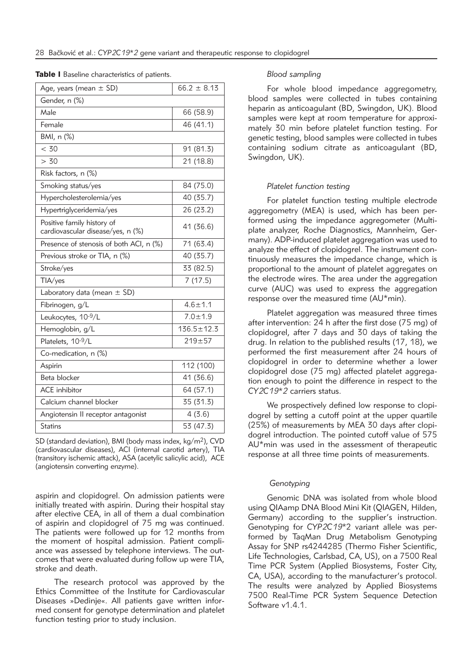| Age, years (mean $\pm$ SD)                                      | $66.2 \pm 8.13$  |  |  |  |
|-----------------------------------------------------------------|------------------|--|--|--|
| Gender, n (%)                                                   |                  |  |  |  |
| Male                                                            | 66 (58.9)        |  |  |  |
| Female                                                          | 46 (41.1)        |  |  |  |
| BMI, n (%)                                                      |                  |  |  |  |
| < 30                                                            | 91 (81.3)        |  |  |  |
| > 30                                                            | 21 (18.8)        |  |  |  |
| Risk factors, n (%)                                             |                  |  |  |  |
| Smoking status/yes                                              | 84 (75.0)        |  |  |  |
| Hypercholesterolemia/yes                                        | 40 (35.7)        |  |  |  |
| Hypertriglyceridemia/yes                                        | 26 (23.2)        |  |  |  |
| Positive family history of<br>cardiovascular disease/yes, n (%) | 41 (36.6)        |  |  |  |
| Presence of stenosis of both ACI, n (%)                         | 71 (63.4)        |  |  |  |
| Previous stroke or TIA, n (%)                                   | 40 (35.7)        |  |  |  |
| Stroke/yes                                                      | 33 (82.5)        |  |  |  |
| TIA/yes                                                         | 7(17.5)          |  |  |  |
| Laboratory data (mean $\pm$ SD)                                 |                  |  |  |  |
| Fibrinogen, g/L                                                 | $4.6 \pm 1.1$    |  |  |  |
| Leukocytes, 10-9/L                                              | $7.0 + 1.9$      |  |  |  |
| Hemoglobin, g/L                                                 | $136.5 \pm 12.3$ |  |  |  |
| Platelets, 10-9/L                                               | $219 + 57$       |  |  |  |
| Co-medication, n (%)                                            |                  |  |  |  |
| Aspirin                                                         | 112 (100)        |  |  |  |
| Beta blocker                                                    | 41 (36.6)        |  |  |  |
| <b>ACE</b> inhibitor                                            | 64 (57.1)        |  |  |  |
| Calcium channel blocker                                         | 35 (31.3)        |  |  |  |
| Angiotensin II receptor antagonist                              | 4(3.6)           |  |  |  |
| <b>Statins</b>                                                  | 53 (47.3)        |  |  |  |

Table I Baseline characteristics of patients.

#### SD (standard deviation), BMI (body mass index, kg/m2), CVD (cardiovascular diseases), ACI (internal carotid artery), TIA (transitory ischemic attack), ASA (acetylic salicylic acid), ACE (angiotensin converting enzyme).

aspirin and clopidogrel. On admission patients were initially treated with aspirin. During their hospital stay after elective CEA, in all of them a dual combination of aspirin and clopidogrel of 75 mg was continued. The patients were followed up for 12 months from the moment of hospital admission. Patient compliance was assessed by telephone interviews. The outcomes that were evaluated during follow up were TIA, stroke and death.

The research protocol was approved by the Ethics Committee of the Institute for Cardiovascular Diseases »Dedinje«. All patients gave written informed consent for genotype determination and platelet function testing prior to study inclusion.

# *Blood sampling*

For whole blood impedance aggregometry, blood samples were collected in tubes containing heparin as anticoagulant (BD, Swingdon, UK). Blood samples were kept at room temperature for approximately 30 min before platelet function testing. For genetic testing, blood samples were collected in tubes containing sodium citrate as anticoagulant (BD, Swingdon, UK).

#### *Platelet function testing*

For platelet function testing multiple electrode aggregometry (MEA) is used, which has been performed using the impedance aggregometer (Multiplate analyzer, Roche Diagnostics, Mannheim, Germany). ADP-induced platelet aggregation was used to analyze the effect of clopidogrel. The instrument continuously measures the impedance change, which is proportional to the amount of platelet aggregates on the electrode wires. The area under the aggregation curve (AUC) was used to express the aggregation response over the measured time (AU\*min).

Platelet aggregation was measured three times after intervention: 24 h after the first dose (75 mg) of clopidogrel, after 7 days and 30 days of taking the drug. In relation to the published results (17, 18), we performed the first measurement after 24 hours of clopidogrel in order to determine whether a lower clopidogrel dose (75 mg) affected platelet aggregation enough to point the difference in respect to the *CY2C19\*2* carriers status.

We prospectively defined low response to clopidogrel by setting a cutoff point at the upper quartile (25%) of measurements by MEA 30 days after clopidogrel introduction. The pointed cutoff value of 575 AU\*min was used in the assessment of therapeutic response at all three time points of measurements.

# *Genotyping*

Genomic DNA was isolated from whole blood using QIAamp DNA Blood Mini Kit (QIAGEN, Hilden, Germany) according to the supplier's instruction. Genotyping for *CYP2C19*\*2 variant allele was performed by TaqMan Drug Metabolism Genotyping Assay for SNP rs4244285 (Thermo Fisher Scientific, Life Technologies, Carlsbad, CA, US), on a 7500 Real Time PCR System (Applied Biosystems, Foster City, CA, USA), according to the manufacturer's protocol. The results were analyzed by Applied Biosystems 7500 Real-Time PCR System Sequence Detection Software v1.4.1.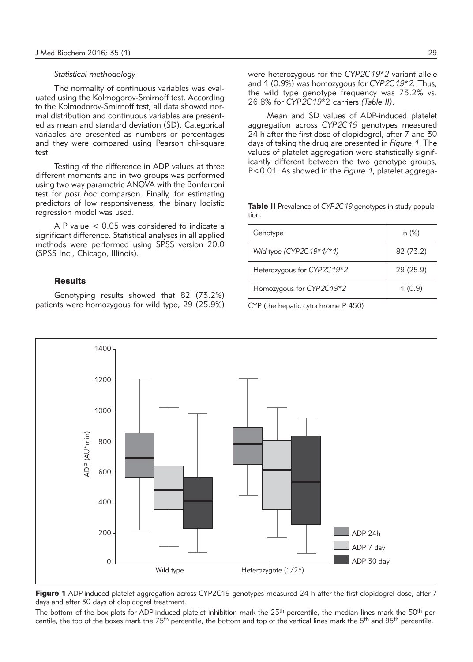# *Statistical methodology*

The normality of continuous variables was evaluated using the Kolmogorov-Smirnoff test. According to the Kolmodorov-Smirnoff test, all data showed normal distribution and continuous variables are presented as mean and standard deviation (SD). Categorical variables are presented as numbers or percentages and they were compared using Pearson chi-square test.

Testing of the difference in ADP values at three different moments and in two groups was performed using two way parametric ANOVA with the Bonferroni test for *post hoc* comparson. Finally, for estimating predictors of low responsiveness, the binary logistic regression model was used.

A P value < 0.05 was considered to indicate a significant difference. Statistical analyses in all applied methods were performed using SPSS version 20.0 (SPSS Inc., Chicago, Illinois).

# **Results**

Genotyping results showed that 82 (73.2%) patients were homozygous for wild type, 29 (25.9%) were heterozygous for the *CYP2C19\*2* variant allele and 1 (0.9%) was homozygous for *CYP2C19\*2.* Thus, the wild type genotype frequency was 73.2% vs. 26.8% for *CYP2C19*\*2 carriers *(Table II)*.

Mean and SD values of ADP-induced platelet aggregation across *CYP2C19* genotypes measured 24 h after the first dose of clopidogrel, after 7 and 30 days of taking the drug are presented in *Figure 1*. The values of platelet aggregation were statistically significantly different between the two genotype groups, P<0.01. As showed in the *Figure 1*, platelet aggrega-

Table II Prevalence of *CYP2C19* genotypes in study population.

| Genotype                   | $n (\%)$  |
|----------------------------|-----------|
| Wild type (CYP2C19*1/*1)   | 82 (73.2) |
| Heterozygous for CYP2C19*2 | 29 (25.9) |
| Homozygous for CYP2C19*2   | 1(0.9)    |

CYP (the hepatic cytochrome P 450)



Figure 1 ADP-induced platelet aggregation across CYP2C19 genotypes measured 24 h after the first clopidogrel dose, after 7 days and after 30 days of clopidogrel treatment.

The bottom of the box plots for ADP-induced platelet inhibition mark the  $25<sup>th</sup>$  percentile, the median lines mark the  $50<sup>th</sup>$  percentile, the top of the boxes mark the 75<sup>th</sup> percentile, the bottom and top of the vertical lines mark the 5<sup>th</sup> and 95<sup>th</sup> percentile.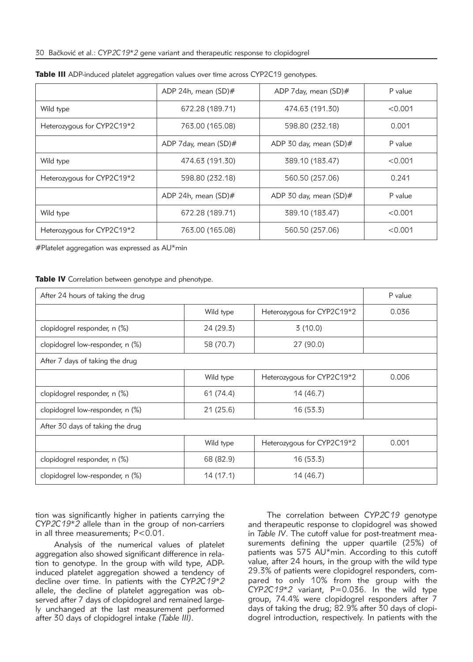# 30 Bačković et al.: *CYP2C19\*2* gene variant and therapeutic response to clopidogrel

|                            | ADP 24h, mean (SD)#    | ADP 7 day, mean (SD)#  | P value |
|----------------------------|------------------------|------------------------|---------|
| Wild type                  | 672.28 (189.71)        | 474.63 (191.30)        | < 0.001 |
| Heterozygous for CYP2C19*2 | 763.00 (165.08)        | 598.80 (232.18)        | 0.001   |
|                            | ADP 7 day, mean (SD)#  | ADP 30 day, mean (SD)# | P value |
| Wild type                  | 474.63 (191.30)        | 389.10 (183.47)        | < 0.001 |
| Heterozygous for CYP2C19*2 | 598.80 (232.18)        | 560.50 (257.06)        | 0.241   |
|                            | ADP 24h, mean $(SD)\#$ | ADP 30 day, mean (SD)# | P value |
| Wild type                  | 672.28 (189.71)        | 389.10 (183.47)        | < 0.001 |
| Heterozygous for CYP2C19*2 | 763.00 (165.08)        | 560.50 (257.06)        | < 0.001 |

#### Table III ADP-induced platelet aggregation values over time across CYP2C19 genotypes.

#Platelet aggregation was expressed as AU\*min

#### Table IV Correlation between genotype and phenotype.

| After 24 hours of taking the drug |           |                            | P value |  |  |
|-----------------------------------|-----------|----------------------------|---------|--|--|
|                                   | Wild type | Heterozygous for CYP2C19*2 | 0.036   |  |  |
| clopidogrel responder, n (%)      | 24 (29.3) | 3(10.0)                    |         |  |  |
| clopidogrel low-responder, n (%)  | 58 (70.7) | 27 (90.0)                  |         |  |  |
| After 7 days of taking the drug   |           |                            |         |  |  |
|                                   | Wild type | Heterozygous for CYP2C19*2 | 0.006   |  |  |
| clopidogrel responder, n (%)      | 61 (74.4) | 14 (46.7)                  |         |  |  |
| clopidogrel low-responder, n (%)  | 21 (25.6) | 16(53.3)                   |         |  |  |
| After 30 days of taking the drug  |           |                            |         |  |  |
|                                   | Wild type | Heterozygous for CYP2C19*2 | 0.001   |  |  |
| clopidogrel responder, n (%)      | 68 (82.9) | 16 (53.3)                  |         |  |  |
| clopidogrel low-responder, n (%)  | 14(17.1)  | 14 (46.7)                  |         |  |  |

tion was significantly higher in patients carrying the *CYP2C19\*2* allele than in the group of non-carriers in all three measurements; P<0.01.

Analysis of the numerical values of platelet aggregation also showed significant difference in relation to genotype. In the group with wild type, ADPinduced platelet aggregation showed a tendency of decline over time. In patients with the *CYP2C19\*2* allele, the decline of platelet aggregation was observed after 7 days of clopidogrel and remained largely unchanged at the last measurement performed after 30 days of clopidogrel intake *(Table III)*.

The correlation between *CYP2C19* genotype and therapeutic response to clopidogrel was showed in *Table IV*. The cutoff value for post-treatment measurements defining the upper quartile (25%) of patients was 575 AU\*min. According to this cutoff value, after 24 hours, in the group with the wild type 29.3% of patients were clopidogrel responders, compared to only 10% from the group with the *CYP2C19\*2* variant, P=0.036. In the wild type group, 74.4% were clopidogrel responders after 7 days of taking the drug; 82.9% after 30 days of clopidogrel introduction, respectively. In patients with the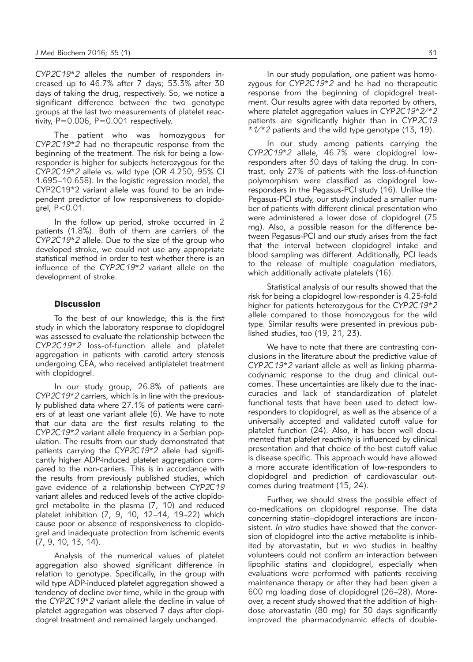*CYP2C19\*2* alleles the number of responders increased up to 46.7% after 7 days; 53.3% after 30 days of taking the drug, respectively. So, we notice a significant difference between the two genotype groups at the last two measurements of platelet reactivity, P=0.006, P=0.001 respectively.

The patient who was homozygous for *CYP2C19\*2* had no therapeutic response from the beginning of the treatment. The risk for being a lowresponder is higher for subjects heterozygous for the *CYP2C19\*2* allele vs. wild type (OR 4.250, 95% CI 1.695–10.658). In the logistic regression model, the CYP2C19\*2 variant allele was found to be an independent predictor of low responsiveness to clopidogrel, P<0.01.

In the follow up period, stroke occurred in 2 patients (1.8%). Both of them are carriers of the *CYP2C19\*2* allele. Due to the size of the group who developed stroke, we could not use any appropriate statistical method in order to test whether there is an influence of the *CYP2C19\*2* variant allele on the development of stroke.

# **Discussion**

To the best of our knowledge, this is the first study in which the laboratory response to clopidogrel was assessed to evaluate the relationship between the *CYP2C19\*2* loss-of-function allele and platelet aggregation in patients with carotid artery stenosis undergoing CEA, who received antiplatelet treatment with clopidogrel.

In our study group, 26.8% of patients are *CYP2C19\*2* carriers, which is in line with the previously published data where 27.1% of patients were carriers of at least one variant allele (6). We have to note that our data are the first results relating to the *CYP2C19\*2* variant allele frequency in a Serbian population. The results from our study demonstrated that patients carrying the *CYP2C19\*2* allele had significantly higher ADP-induced platelet aggregation compared to the non-carriers. This is in accordance with the results from previously published studies, which gave evidence of a relationship between *CYP2C19* variant alleles and reduced levels of the active clopidogrel metabolite in the plasma (7, 10) and reduced platelet inhibition (7, 9, 10, 12–14, 19–22) which cause poor or absence of responsiveness to clopidogrel and inadequate protection from ischemic events (7, 9, 10, 13, 14).

Analysis of the numerical values of platelet aggregation also showed significant difference in relation to genotype. Specifically, in the group with wild type ADP-induced platelet aggregation showed a tendency of decline over time, while in the group with the *CYP2C19\*2* variant allele the decline in value of platelet aggregation was observed 7 days after clopidogrel treatment and remained largely unchanged.

In our study population, one patient was homozygous for *CYP2C19\*2* and he had no therapeutic response from the beginning of clopidogrel treatment. Our results agree with data reported by others, where platelet aggregation values in *CYP2C19\*2/\*2* patients are significantly higher than in *CYP2C19 \*1/\*2* patients and the wild type genotype (13, 19).

In our study among patients carrying the *CYP2C19\*2* allele, 46.7% were clopidogrel lowresponders after 30 days of taking the drug. In contrast, only 27% of patients with the loss-of-function polymorphism were classified as clopidogrel lowresponders in the Pegasus-PCI study (16). Unlike the Pegasus-PCI study, our study included a smaller number of patients with different clinical presentation who were administered a lower dose of clopidogrel (75 mg). Also, a possible reason for the difference between Pegasus-PCI and our study arises from the fact that the interval between clopidogrel intake and blood sampling was different. Additionally, PCI leads to the release of multiple coagulation mediators, which additionally activate platelets (16).

Statistical analysis of our results showed that the risk for being a clopidogrel low-responder is 4.25-fold higher for patients heterozygous for the *CYP2C19\*2* allele compared to those homozygous for the wild type. Similar results were presented in previous published studies, too (19, 21, 23).

We have to note that there are contrasting conclusions in the literature about the predictive value of *CYP2C19\*2* variant allele as well as linking pharmacodynamic response to the drug and clinical outcomes. These uncertainties are likely due to the inaccuracies and lack of standardization of platelet functional tests that have been used to detect lowresponders to clopidogrel, as well as the absence of a universally accepted and validated cutoff value for platelet function (24). Also, it has been well documented that platelet reactivity is influenced by clinical presentation and that choice of the best cutoff value is disease specific. This approach would have allowed a more accurate identification of low-responders to clopidogrel and prediction of cardiovascular outcomes during treatment (15, 24).

Further, we should stress the possible effect of co-medications on clopidogrel response. The data concerning statin–clopidogrel interactions are inconsistent. *In vitro* studies have showed that the conversion of clopidogrel into the active metabolite is inhibited by atorvastatin, but *in vivo* studies in healthy volunteers could not confirm an interaction between lipophilic statins and clopidogrel, especially when evaluations were performed with patients receiving maintenance therapy or after they had been given a 600 mg loading dose of clopidogrel (26–28). More over, a recent study showed that the addition of highdose atorvastatin (80 mg) for 30 days significantly improved the pharmacodynamic effects of double-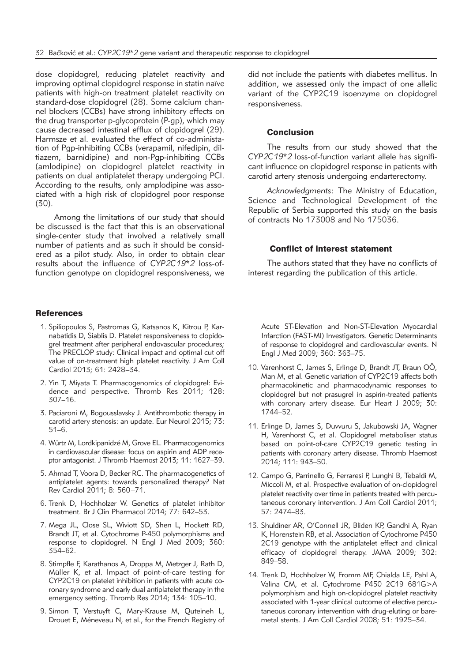dose clopidogrel, reducing platelet reactivity and improving optimal clopidogrel response in statin naïve patients with high-on treatment platelet reactivity on standard-dose clopidogrel (28). Some calcium channel blockers (CCBs) have strong inhibitory effects on the drug transporter p-glycoprotein (P-gp), which may cause de creased intestinal efflux of clopidogrel (29). Harmsze et al. evaluated the effect of co-administation of Pgp-inhibiting CCBs (verapamil, nifedipin, diltiazem, barnidipine) and non-Pgp-inhibiting CCBs (amlodipine) on clopidogrel platelet reactivity in patients on dual antiplatelet therapy undergoing PCI. According to the results, only amplodipine was associated with a high risk of clopidogrel poor response (30).

Among the limitations of our study that should be discussed is the fact that this is an observational single-center study that involved a relatively small number of patients and as such it should be considered as a pilot study. Also, in order to obtain clear results about the influence of *CYP2C19\*2* loss-offunction genotype on clopidogrel responsiveness, we

# **References**

- 1. Spiliopoulos S, Pastromas G, Katsanos K, Kitrou P, Kar na batidis D, Siablis D. Platelet responsiveness to clopidogrel treatment after peripheral endovascular procedures; The PRECLOP study: Clinical impact and optimal cut off value of on-treatment high platelet reactivity. J Am Coll Cardiol 2013; 61: 2428–34.
- 2. Yin T, Miyata T. Pharmacogenomics of clopidogrel: Evi dence and perspective. Thromb Res 2011; 128: 307–16.
- 3. Paciaroni M, Bogousslavsky J. Antithrombotic therapy in carotid artery stenosis: an update. Eur Neurol 2015; 73: 51–6.
- 4. Würtz M, Lordkipanidzé M, Grove EL. Pharmacogenomics in cardiovascular disease: focus on aspirin and ADP receptor antagonist. J Thromb Haemost 2013; 11: 1627–39.
- 5. Ahmad T, Voora D, Becker RC. The pharmacogenetics of antiplatelet agents: towards personalized therapy? Nat Rev Cardiol 2011; 8: 560–71.
- 6. Trenk D, Hochholzer W. Genetics of platelet inhibitor treatment. Br J Clin Pharmacol 2014; 77: 642–53.
- 7. Mega JL, Close SL, Wiviott SD, Shen L, Hockett RD, Brandt JT, et al. Cytochrome P-450 polymorphisms and response to clopidogrel. N Engl J Med 2009; 360: 354–62.
- 8. Stimpfle F, Karathanos A, Droppa M, Metzger J, Rath D, Müller K, et al. Impact of point-of-care testing for CYP2C19 on platelet inhibition in patients with acute coronary syndrome and early dual antiplatelet therapy in the emergency setting. Thromb Res 2014; 134: 105–10.
- 9. Simon T, Verstuyft C, Mary-Krause M, Quteineh L, Drouet E, Méneveau N, et al., for the French Registry of

did not include the patients with diabetes mellitus. In addition, we assessed only the impact of one allelic variant of the CYP2C19 isoenzyme on clopidogrel responsiveness.

#### **Conclusion**

The results from our study showed that the *CYP2C19\*2* loss-of-function variant allele has significant influence on clopidogrel response in patients with carotid artery stenosis undergoing endarterectomy.

*Acknowledgments*: The Ministry of Education, Science and Technological Development of the Republic of Serbia supported this study on the basis of contracts No 173008 and No 175036.

# Conflict of interest statement

The authors stated that they have no conflicts of interest regarding the publication of this article.

Acute ST-Elevation and Non-ST-Elevation Myocardial Infarction (FAST-MI) Investigators. Genetic Determinants of response to clopidogrel and cardiovascular events. N Engl J Med 2009; 360: 363–75.

- 10. Varenhorst C, James S, Erlinge D, Brandt JT, Braun OÖ, Man M, et al. Genetic variation of CYP2C19 affects both pharmacokinetic and pharmacodynamic responses to clopidogrel but not prasugrel in aspirin-treated patients with coronary artery disease. Eur Heart J 2009; 30: 1744–52.
- 11. Erlinge D, James S, Duvvuru S, Jakubowski JA, Wagner H, Varenhorst C, et al. Clopidogrel metaboliser status based on point-of-care CYP2C19 genetic testing in patients with coronary artery disease. Thromb Haemost 2014; 111: 943–50.
- 12. Campo G, Parrinello G, Ferraresi P, Lunghi B, Tebaldi M, Miccoli M, et al. Prospective evaluation of on-clopidogrel platelet reactivity over time in patients treated with percutaneous coronary intervention. J Am Coll Cardiol 2011; 57: 2474–83.
- 13. Shuldiner AR, O'Connell JR, Bliden KP, Gandhi A, Ryan K, Horenstein RB, et al. Association of Cytochrome P450 2C19 genotype with the antiplatelet effect and clinical efficacy of clopidogrel therapy. JAMA 2009; 302: 849–58.
- 14. Trenk D, Hochholzer W, Fromm MF, Chialda LE, Pahl A, Valina CM, et al. Cytochrome P450 2C19 681G>A polymorphism and high on-clopidogrel platelet reactivity associated with 1-year clinical outcome of elective percutaneous coronary intervention with drug-eluting or baremetal stents. J Am Coll Cardiol 2008; 51: 1925–34.